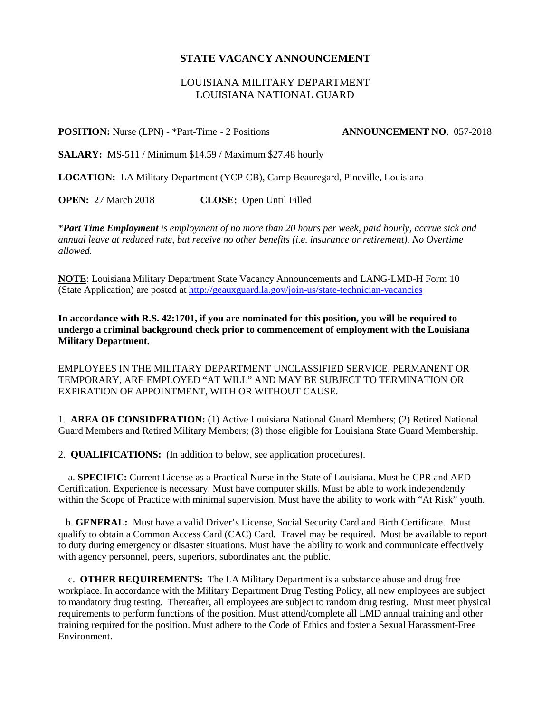## **STATE VACANCY ANNOUNCEMENT**

## LOUISIANA MILITARY DEPARTMENT LOUISIANA NATIONAL GUARD

## **POSITION:** Nurse (LPN) - \*Part-Time - 2 Positions **ANNOUNCEMENT NO**. 057-2018

**SALARY:** MS-511 / Minimum \$14.59 / Maximum \$27.48 hourly

**LOCATION:** LA Military Department (YCP-CB), Camp Beauregard, Pineville, Louisiana

**OPEN:** 27 March 2018 **CLOSE:** Open Until Filled

\**Part Time Employment is employment of no more than 20 hours per week, paid hourly, accrue sick and annual leave at reduced rate, but receive no other benefits (i.e. insurance or retirement). No Overtime allowed.* 

**NOTE**: Louisiana Military Department State Vacancy Announcements and LANG-LMD-H Form 10 (State Application) are posted at<http://geauxguard.la.gov/join-us/state-technician-vacancies>

**In accordance with R.S. 42:1701, if you are nominated for this position, you will be required to undergo a criminal background check prior to commencement of employment with the Louisiana Military Department.** 

EMPLOYEES IN THE MILITARY DEPARTMENT UNCLASSIFIED SERVICE, PERMANENT OR TEMPORARY, ARE EMPLOYED "AT WILL" AND MAY BE SUBJECT TO TERMINATION OR EXPIRATION OF APPOINTMENT, WITH OR WITHOUT CAUSE.

1. **AREA OF CONSIDERATION:** (1) Active Louisiana National Guard Members; (2) Retired National Guard Members and Retired Military Members; (3) those eligible for Louisiana State Guard Membership.

2. **QUALIFICATIONS:** (In addition to below, see application procedures).

 a. **SPECIFIC:** Current License as a Practical Nurse in the State of Louisiana. Must be CPR and AED Certification. Experience is necessary. Must have computer skills. Must be able to work independently within the Scope of Practice with minimal supervision. Must have the ability to work with "At Risk" youth.

 b. **GENERAL:** Must have a valid Driver's License, Social Security Card and Birth Certificate. Must qualify to obtain a Common Access Card (CAC) Card. Travel may be required. Must be available to report to duty during emergency or disaster situations. Must have the ability to work and communicate effectively with agency personnel, peers, superiors, subordinates and the public.

 c. **OTHER REQUIREMENTS:** The LA Military Department is a substance abuse and drug free workplace. In accordance with the Military Department Drug Testing Policy, all new employees are subject to mandatory drug testing. Thereafter, all employees are subject to random drug testing. Must meet physical requirements to perform functions of the position. Must attend/complete all LMD annual training and other training required for the position. Must adhere to the Code of Ethics and foster a Sexual Harassment-Free Environment.